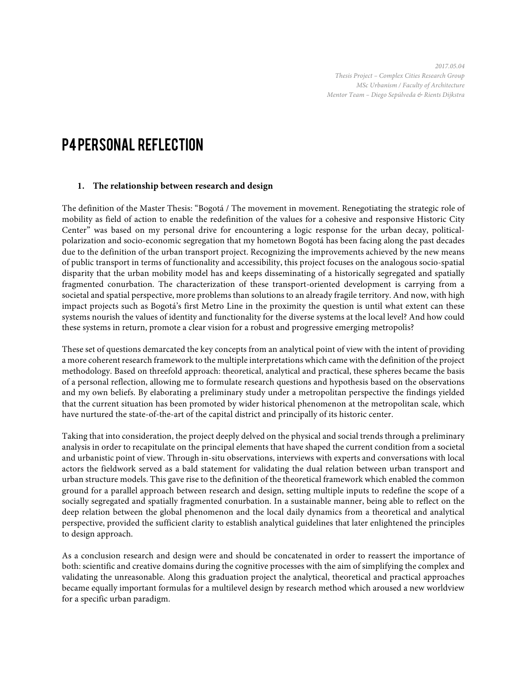*2017.05.04 Thesis Project – Complex Cities Research Group MSc Urbanism / Faculty of Architecture Mentor Team – Diego Sepúlveda & Rients Dijkstra*

# P4 PERSONAL REFLECTION

#### **1. The relationship between research and design**

The definition of the Master Thesis: "Bogotá / The movement in movement. Renegotiating the strategic role of mobility as field of action to enable the redefinition of the values for a cohesive and responsive Historic City Center" was based on my personal drive for encountering a logic response for the urban decay, politicalpolarization and socio-economic segregation that my hometown Bogotá has been facing along the past decades due to the definition of the urban transport project. Recognizing the improvements achieved by the new means of public transport in terms of functionality and accessibility, this project focuses on the analogous socio-spatial disparity that the urban mobility model has and keeps disseminating of a historically segregated and spatially fragmented conurbation. The characterization of these transport-oriented development is carrying from a societal and spatial perspective, more problems than solutions to an already fragile territory. And now, with high impact projects such as Bogotá's first Metro Line in the proximity the question is until what extent can these systems nourish the values of identity and functionality for the diverse systems at the local level? And how could these systems in return, promote a clear vision for a robust and progressive emerging metropolis?

These set of questions demarcated the key concepts from an analytical point of view with the intent of providing a more coherent research framework to the multiple interpretations which came with the definition of the project methodology. Based on threefold approach: theoretical, analytical and practical, these spheres became the basis of a personal reflection, allowing me to formulate research questions and hypothesis based on the observations and my own beliefs. By elaborating a preliminary study under a metropolitan perspective the findings yielded that the current situation has been promoted by wider historical phenomenon at the metropolitan scale, which have nurtured the state-of-the-art of the capital district and principally of its historic center.

Taking that into consideration, the project deeply delved on the physical and social trends through a preliminary analysis in order to recapitulate on the principal elements that have shaped the current condition from a societal and urbanistic point of view. Through in-situ observations, interviews with experts and conversations with local actors the fieldwork served as a bald statement for validating the dual relation between urban transport and urban structure models. This gave rise to the definition of the theoretical framework which enabled the common ground for a parallel approach between research and design, setting multiple inputs to redefine the scope of a socially segregated and spatially fragmented conurbation. In a sustainable manner, being able to reflect on the deep relation between the global phenomenon and the local daily dynamics from a theoretical and analytical perspective, provided the sufficient clarity to establish analytical guidelines that later enlightened the principles to design approach.

As a conclusion research and design were and should be concatenated in order to reassert the importance of both: scientific and creative domains during the cognitive processes with the aim of simplifying the complex and validating the unreasonable. Along this graduation project the analytical, theoretical and practical approaches became equally important formulas for a multilevel design by research method which aroused a new worldview for a specific urban paradigm.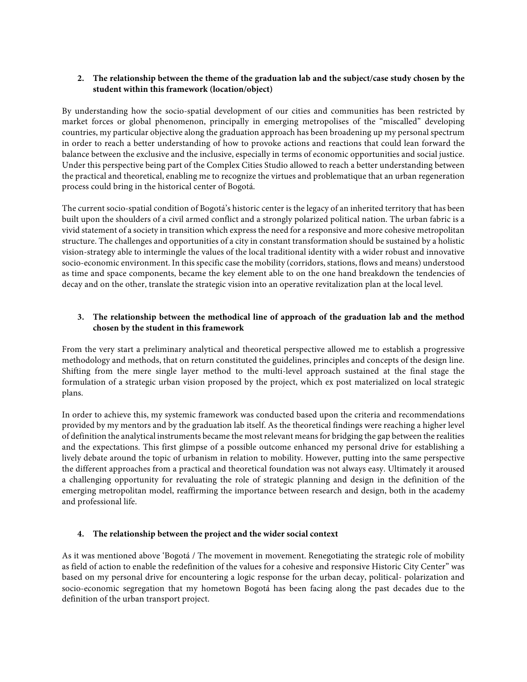### **2. The relationship between the theme of the graduation lab and the subject/case study chosen by the student within this framework (location/object)**

By understanding how the socio-spatial development of our cities and communities has been restricted by market forces or global phenomenon, principally in emerging metropolises of the "miscalled" developing countries, my particular objective along the graduation approach has been broadening up my personal spectrum in order to reach a better understanding of how to provoke actions and reactions that could lean forward the balance between the exclusive and the inclusive, especially in terms of economic opportunities and social justice. Under this perspective being part of the Complex Cities Studio allowed to reach a better understanding between the practical and theoretical, enabling me to recognize the virtues and problematique that an urban regeneration process could bring in the historical center of Bogotá.

The current socio-spatial condition of Bogotá's historic center is the legacy of an inherited territory that has been built upon the shoulders of a civil armed conflict and a strongly polarized political nation. The urban fabric is a vivid statement of a society in transition which express the need for a responsive and more cohesive metropolitan structure. The challenges and opportunities of a city in constant transformation should be sustained by a holistic vision-strategy able to intermingle the values of the local traditional identity with a wider robust and innovative socio-economic environment. In this specific case the mobility (corridors, stations, flows and means) understood as time and space components, became the key element able to on the one hand breakdown the tendencies of decay and on the other, translate the strategic vision into an operative revitalization plan at the local level.

## **3. The relationship between the methodical line of approach of the graduation lab and the method chosen by the student in this framework**

From the very start a preliminary analytical and theoretical perspective allowed me to establish a progressive methodology and methods, that on return constituted the guidelines, principles and concepts of the design line. Shifting from the mere single layer method to the multi-level approach sustained at the final stage the formulation of a strategic urban vision proposed by the project, which ex post materialized on local strategic plans.

In order to achieve this, my systemic framework was conducted based upon the criteria and recommendations provided by my mentors and by the graduation lab itself. As the theoretical findings were reaching a higher level of definition the analytical instruments became the most relevant means for bridging the gap between the realities and the expectations. This first glimpse of a possible outcome enhanced my personal drive for establishing a lively debate around the topic of urbanism in relation to mobility. However, putting into the same perspective the different approaches from a practical and theoretical foundation was not always easy. Ultimately it aroused a challenging opportunity for revaluating the role of strategic planning and design in the definition of the emerging metropolitan model, reaffirming the importance between research and design, both in the academy and professional life.

#### **4. The relationship between the project and the wider social context**

As it was mentioned above 'Bogotá / The movement in movement. Renegotiating the strategic role of mobility as field of action to enable the redefinition of the values for a cohesive and responsive Historic City Center" was based on my personal drive for encountering a logic response for the urban decay, political- polarization and socio-economic segregation that my hometown Bogotá has been facing along the past decades due to the definition of the urban transport project.